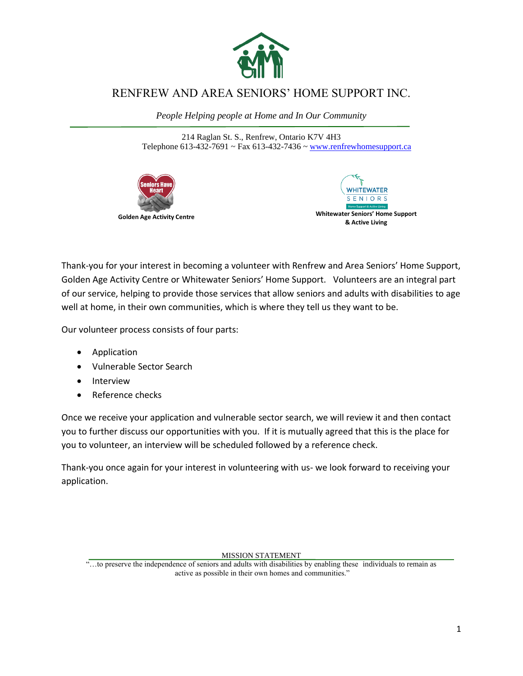

# RENFREW AND AREA SENIORS' HOME SUPPORT INC.

*People Helping people at Home and In Our Community*

214 Raglan St. S., Renfrew, Ontario K7V 4H3 Telephone  $613-432-7691$  ~ Fax  $613-432-7436$  [~ www.renfrewhomesupport.ca](http://www.renfrewhomesupport.ca/)





Thank-you for your interest in becoming a volunteer with Renfrew and Area Seniors' Home Support, Golden Age Activity Centre or Whitewater Seniors' Home Support. Volunteers are an integral part of our service, helping to provide those services that allow seniors and adults with disabilities to age well at home, in their own communities, which is where they tell us they want to be.

Our volunteer process consists of four parts:

- Application
- Vulnerable Sector Search
- Interview
- Reference checks

Once we receive your application and vulnerable sector search, we will review it and then contact you to further discuss our opportunities with you. If it is mutually agreed that this is the place for you to volunteer, an interview will be scheduled followed by a reference check.

Thank-you once again for your interest in volunteering with us- we look forward to receiving your application.

MISSION STATEMENT

<sup>&</sup>quot;…to preserve the independence of seniors and adults with disabilities by enabling these individuals to remain as active as possible in their own homes and communities."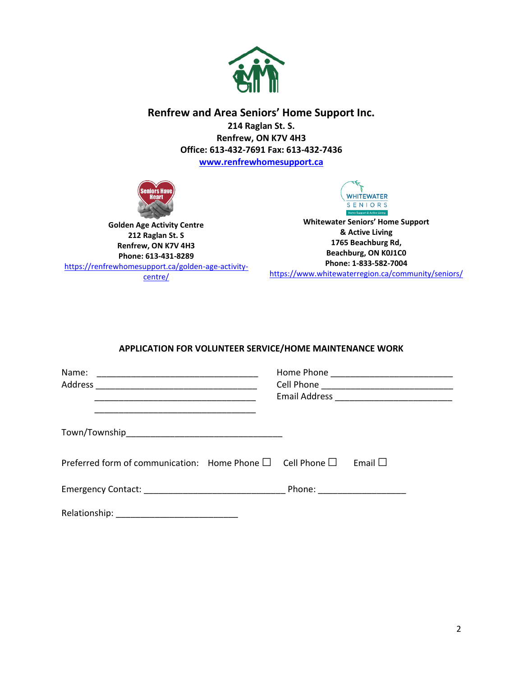

# **Renfrew and Area Seniors' Home Support Inc.**

**214 Raglan St. S. Renfrew, ON K7V 4H3 Office: 613-432-7691 Fax: 613-432-7436**

**[www.renfrewhomesupport.ca](http://www.renfrewhomesupport.ca/)**



**Golden Age Activity Centre 212 Raglan St. S Renfrew, ON K7V 4H3 Phone: 613-431-8289** [https://renfrewhomesupport.ca/golden-age-activity](https://renfrewhomesupport.ca/golden-age-activity-centre/)[centre/](https://renfrewhomesupport.ca/golden-age-activity-centre/)



**Whitewater Seniors' Home Support & Active Living 1765 Beachburg Rd, Beachburg, ON K0J1C0 Phone: 1-833-582-7004**

<https://www.whitewaterregion.ca/community/seniors/>

#### **APPLICATION FOR VOLUNTEER SERVICE/HOME MAINTENANCE WORK**

| Name:<br><u> 2002 - Johann John Harry Harry Harry Harry Harry Harry Harry Harry Harry Harry Harry Harry Harry Harry Harry Harry Harry Harry Harry Harry Harry Harry Harry Harry Harry Harry Harry Harry Harry Harry Harry Harry Harry Har</u> | Home Phone _______________________________ |
|-----------------------------------------------------------------------------------------------------------------------------------------------------------------------------------------------------------------------------------------------|--------------------------------------------|
|                                                                                                                                                                                                                                               |                                            |
| Preferred form of communication: Home Phone $\square$ Cell Phone $\square$ Email $\square$                                                                                                                                                    |                                            |
|                                                                                                                                                                                                                                               |                                            |
|                                                                                                                                                                                                                                               |                                            |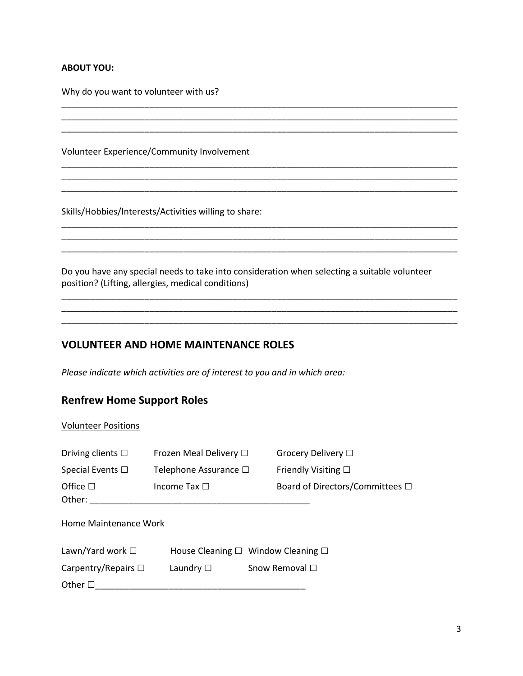#### **ABOUT YOU:**

Why do you want to volunteer with us?

Volunteer Experience/Community Involvement

Skills/Hobbies/Interests/Activities willing to share:

Do you have any special needs to take into consideration when selecting a suitable volunteer position? (Lifting, allergies, medical conditions)

\_\_\_\_\_\_\_\_\_\_\_\_\_\_\_\_\_\_\_\_\_\_\_\_\_\_\_\_\_\_\_\_\_\_\_\_\_\_\_\_\_\_\_\_\_\_\_\_\_\_\_\_\_\_\_\_\_\_\_\_\_\_\_\_\_\_\_\_\_\_\_\_\_\_\_\_\_\_\_\_\_

\_\_\_\_\_\_\_\_\_\_\_\_\_\_\_\_\_\_\_\_\_\_\_\_\_\_\_\_\_\_\_\_\_\_\_\_\_\_\_\_\_\_\_\_\_\_\_\_\_\_\_\_\_\_\_\_\_\_\_\_\_\_\_\_\_\_\_\_\_\_\_\_\_\_\_\_\_\_\_\_\_

\_\_\_\_\_\_\_\_\_\_\_\_\_\_\_\_\_\_\_\_\_\_\_\_\_\_\_\_\_\_\_\_\_\_\_\_\_\_\_\_\_\_\_\_\_\_\_\_\_\_\_\_\_\_\_\_\_\_\_\_\_\_\_\_\_\_\_\_\_\_\_\_\_\_\_\_\_\_\_\_\_

\_\_\_\_\_\_\_\_\_\_\_\_\_\_\_\_\_\_\_\_\_\_\_\_\_\_\_\_\_\_\_\_\_\_\_\_\_\_\_\_\_\_\_\_\_\_\_\_\_\_\_\_\_\_\_\_\_\_\_\_\_\_\_\_\_\_\_\_\_\_\_\_\_\_\_\_\_\_\_\_\_

\_\_\_\_\_\_\_\_\_\_\_\_\_\_\_\_\_\_\_\_\_\_\_\_\_\_\_\_\_\_\_\_\_\_\_\_\_\_\_\_\_\_\_\_\_\_\_\_\_\_\_\_\_\_\_\_\_\_\_\_\_\_\_\_\_\_\_\_\_\_\_\_\_\_\_\_\_\_\_\_\_ \_\_\_\_\_\_\_\_\_\_\_\_\_\_\_\_\_\_\_\_\_\_\_\_\_\_\_\_\_\_\_\_\_\_\_\_\_\_\_\_\_\_\_\_\_\_\_\_\_\_\_\_\_\_\_\_\_\_\_\_\_\_\_\_\_\_\_\_\_\_\_\_\_\_\_\_\_\_\_\_\_

\_\_\_\_\_\_\_\_\_\_\_\_\_\_\_\_\_\_\_\_\_\_\_\_\_\_\_\_\_\_\_\_\_\_\_\_\_\_\_\_\_\_\_\_\_\_\_\_\_\_\_\_\_\_\_\_\_\_\_\_\_\_\_\_\_\_\_\_\_\_\_\_\_\_\_\_\_\_\_\_\_ \_\_\_\_\_\_\_\_\_\_\_\_\_\_\_\_\_\_\_\_\_\_\_\_\_\_\_\_\_\_\_\_\_\_\_\_\_\_\_\_\_\_\_\_\_\_\_\_\_\_\_\_\_\_\_\_\_\_\_\_\_\_\_\_\_\_\_\_\_\_\_\_\_\_\_\_\_\_\_\_\_ \_\_\_\_\_\_\_\_\_\_\_\_\_\_\_\_\_\_\_\_\_\_\_\_\_\_\_\_\_\_\_\_\_\_\_\_\_\_\_\_\_\_\_\_\_\_\_\_\_\_\_\_\_\_\_\_\_\_\_\_\_\_\_\_\_\_\_\_\_\_\_\_\_\_\_\_\_\_\_\_\_

#### **VOLUNTEER AND HOME MAINTENANCE ROLES**

*Please indicate which activities are of interest to you and in which area:*

## **Renfrew Home Support Roles**

#### Volunteer Positions

| Driving clients $\square$ | Frozen Meal Delivery □ | Grocery Delivery □                                 |  |  |
|---------------------------|------------------------|----------------------------------------------------|--|--|
| Special Events $\square$  | Telephone Assurance □  | Friendly Visiting $\square$                        |  |  |
| Office $\Box$             | Income Tax $\Box$      | Board of Directors/Committees □                    |  |  |
| Other:                    |                        |                                                    |  |  |
| Home Maintenance Work     |                        |                                                    |  |  |
| Lawn/Yard work $\square$  |                        | House Cleaning $\square$ Window Cleaning $\square$ |  |  |
| Carpentry/Repairs $\Box$  | Laundry $\square$      | Snow Removal $\Box$                                |  |  |
| Other $\square$           |                        |                                                    |  |  |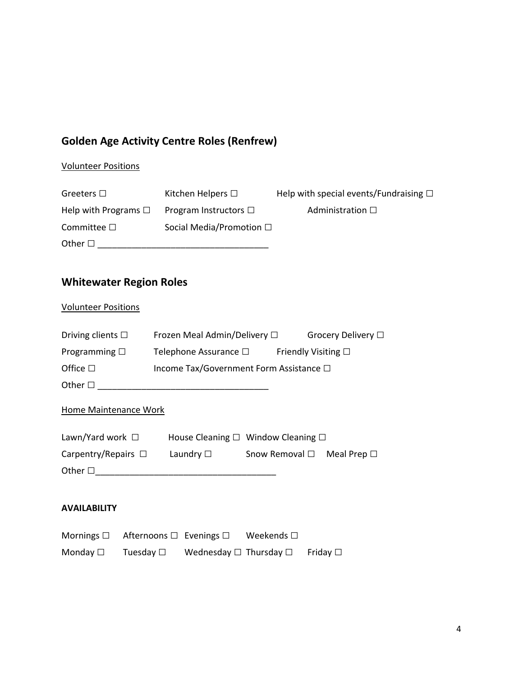# **Golden Age Activity Centre Roles (Renfrew)**

# Volunteer Positions

| Greeters $\Box$           | Kitchen Helpers $\square$     | Help with special events/Fundraising $\square$ |
|---------------------------|-------------------------------|------------------------------------------------|
| Help with Programs $\Box$ | Program Instructors $\square$ | Administration $\square$                       |
| Committee $\square$       | Social Media/Promotion □      |                                                |
| Other $\square$           |                               |                                                |

# **Whitewater Region Roles**

## Volunteer Positions

| Driving clients $\square$ | Frozen Meal Admin/Delivery □            | Grocery Delivery □          |
|---------------------------|-----------------------------------------|-----------------------------|
| Programming $\square$     | Telephone Assurance $\square$           | Friendly Visiting $\square$ |
| Office $\square$          | Income Tax/Government Form Assistance □ |                             |
| Other $\square$           |                                         |                             |

# Home Maintenance Work

| Lawn/Yard work $\square$ |                | House Cleaning $\square$ Window Cleaning $\square$ |  |
|--------------------------|----------------|----------------------------------------------------|--|
| Carpentry/Repairs $\Box$ | Laundry $\Box$ | Snow Removal $\Box$ Meal Prep $\Box$               |  |
| Other $\square$          |                |                                                    |  |

### **AVAILABILITY**

|                  | Mornings $\Box$ Afternoons $\Box$ Evenings $\Box$ |                                        | Weekends $\square$ |               |
|------------------|---------------------------------------------------|----------------------------------------|--------------------|---------------|
| Monday $\square$ | Tuesday $\square$                                 | Wednesday $\square$ Thursday $\square$ |                    | Friday $\Box$ |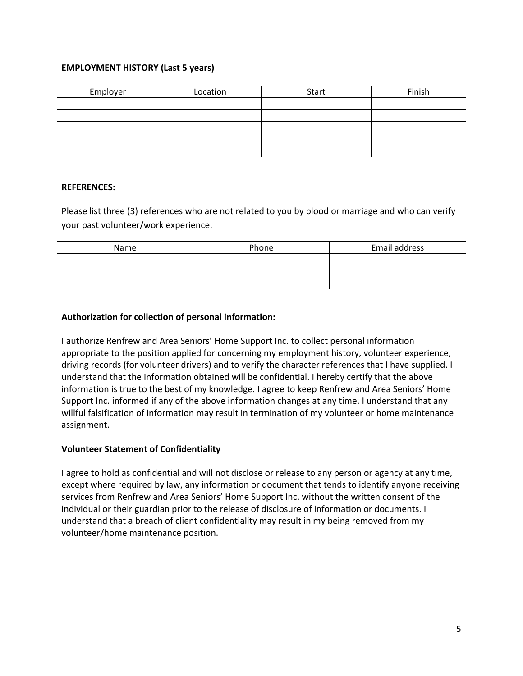#### **EMPLOYMENT HISTORY (Last 5 years)**

| Employer | Location | Start | Finish |
|----------|----------|-------|--------|
|          |          |       |        |
|          |          |       |        |
|          |          |       |        |
|          |          |       |        |
|          |          |       |        |

#### **REFERENCES:**

Please list three (3) references who are not related to you by blood or marriage and who can verify your past volunteer/work experience.

| Name | Phone | Email address |
|------|-------|---------------|
|      |       |               |
|      |       |               |
|      |       |               |

#### **Authorization for collection of personal information:**

I authorize Renfrew and Area Seniors' Home Support Inc. to collect personal information appropriate to the position applied for concerning my employment history, volunteer experience, driving records (for volunteer drivers) and to verify the character references that I have supplied. I understand that the information obtained will be confidential. I hereby certify that the above information is true to the best of my knowledge. I agree to keep Renfrew and Area Seniors' Home Support Inc. informed if any of the above information changes at any time. I understand that any willful falsification of information may result in termination of my volunteer or home maintenance assignment.

#### **Volunteer Statement of Confidentiality**

I agree to hold as confidential and will not disclose or release to any person or agency at any time, except where required by law, any information or document that tends to identify anyone receiving services from Renfrew and Area Seniors' Home Support Inc. without the written consent of the individual or their guardian prior to the release of disclosure of information or documents. I understand that a breach of client confidentiality may result in my being removed from my volunteer/home maintenance position.